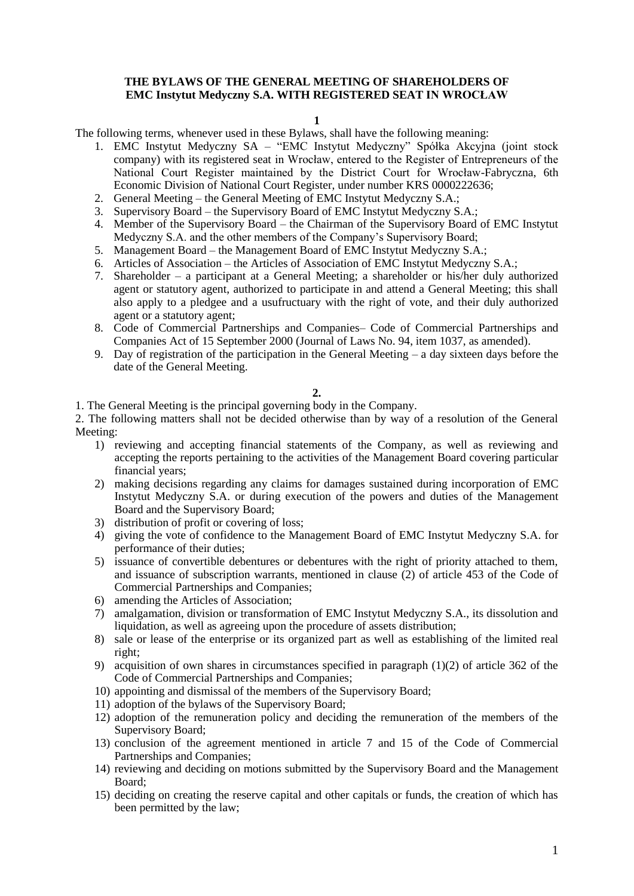## **THE BYLAWS OF THE GENERAL MEETING OF SHAREHOLDERS OF EMC Instytut Medyczny S.A. WITH REGISTERED SEAT IN WROCŁAW**

**1** 

The following terms, whenever used in these Bylaws, shall have the following meaning:

- 1. EMC Instytut Medyczny SA "EMC Instytut Medyczny" Spółka Akcyjna (joint stock company) with its registered seat in Wrocław, entered to the Register of Entrepreneurs of the National Court Register maintained by the District Court for Wrocław-Fabryczna, 6th Economic Division of National Court Register, under number KRS 0000222636;
- 2. General Meeting the General Meeting of EMC Instytut Medyczny S.A.;
- 3. Supervisory Board the Supervisory Board of EMC Instytut Medyczny S.A.;
- 4. Member of the Supervisory Board the Chairman of the Supervisory Board of EMC Instytut Medyczny S.A. and the other members of the Company's Supervisory Board;
- 5. Management Board the Management Board of EMC Instytut Medyczny S.A.;
- 6. Articles of Association the Articles of Association of EMC Instytut Medyczny S.A.;
- 7. Shareholder a participant at a General Meeting; a shareholder or his/her duly authorized agent or statutory agent, authorized to participate in and attend a General Meeting; this shall also apply to a pledgee and a usufructuary with the right of vote, and their duly authorized agent or a statutory agent;
- 8. Code of Commercial Partnerships and Companies– Code of Commercial Partnerships and Companies Act of 15 September 2000 (Journal of Laws No. 94, item 1037, as amended).
- 9. Day of registration of the participation in the General Meeting a day sixteen days before the date of the General Meeting.

### **2.**

1. The General Meeting is the principal governing body in the Company.

2. The following matters shall not be decided otherwise than by way of a resolution of the General Meeting:

- 1) reviewing and accepting financial statements of the Company, as well as reviewing and accepting the reports pertaining to the activities of the Management Board covering particular financial years;
- 2) making decisions regarding any claims for damages sustained during incorporation of EMC Instytut Medyczny S.A. or during execution of the powers and duties of the Management Board and the Supervisory Board;
- 3) distribution of profit or covering of loss;
- 4) giving the vote of confidence to the Management Board of EMC Instytut Medyczny S.A. for performance of their duties;
- 5) issuance of convertible debentures or debentures with the right of priority attached to them, and issuance of subscription warrants, mentioned in clause (2) of article 453 of the Code of Commercial Partnerships and Companies;
- 6) amending the Articles of Association;
- 7) amalgamation, division or transformation of EMC Instytut Medyczny S.A., its dissolution and liquidation, as well as agreeing upon the procedure of assets distribution;
- 8) sale or lease of the enterprise or its organized part as well as establishing of the limited real right;
- 9) acquisition of own shares in circumstances specified in paragraph (1)(2) of article 362 of the Code of Commercial Partnerships and Companies;
- 10) appointing and dismissal of the members of the Supervisory Board;
- 11) adoption of the bylaws of the Supervisory Board;
- 12) adoption of the remuneration policy and deciding the remuneration of the members of the Supervisory Board;
- 13) conclusion of the agreement mentioned in article 7 and 15 of the Code of Commercial Partnerships and Companies;
- 14) reviewing and deciding on motions submitted by the Supervisory Board and the Management Board;
- 15) deciding on creating the reserve capital and other capitals or funds, the creation of which has been permitted by the law;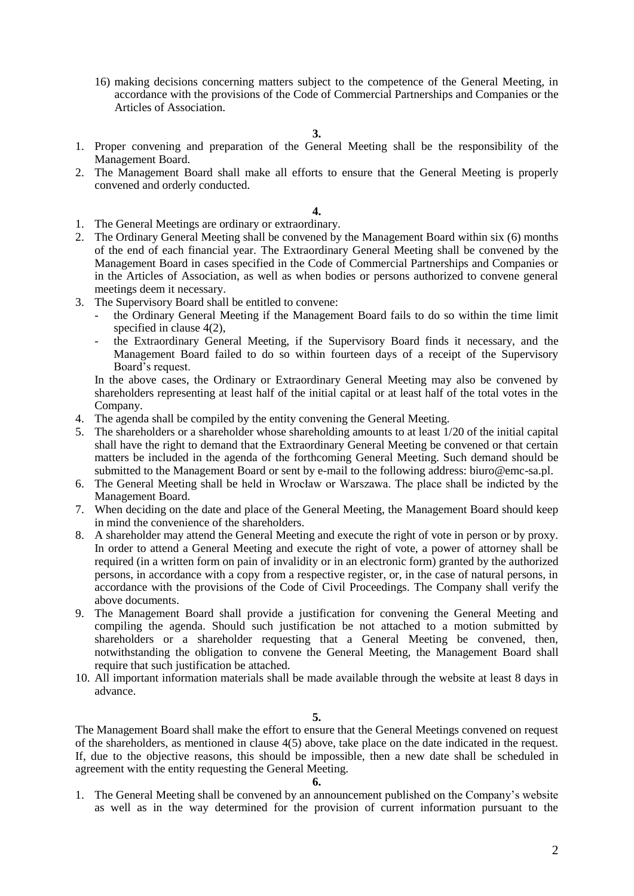16) making decisions concerning matters subject to the competence of the General Meeting, in accordance with the provisions of the Code of Commercial Partnerships and Companies or the Articles of Association.

**3.**

- 1. Proper convening and preparation of the General Meeting shall be the responsibility of the Management Board.
- 2. The Management Board shall make all efforts to ensure that the General Meeting is properly convened and orderly conducted.

#### **4.**

- 1. The General Meetings are ordinary or extraordinary.
- 2. The Ordinary General Meeting shall be convened by the Management Board within six (6) months of the end of each financial year. The Extraordinary General Meeting shall be convened by the Management Board in cases specified in the Code of Commercial Partnerships and Companies or in the Articles of Association, as well as when bodies or persons authorized to convene general meetings deem it necessary.
- 3. The Supervisory Board shall be entitled to convene:
	- the Ordinary General Meeting if the Management Board fails to do so within the time limit specified in clause 4(2),
	- the Extraordinary General Meeting, if the Supervisory Board finds it necessary, and the Management Board failed to do so within fourteen days of a receipt of the Supervisory Board's request.

In the above cases, the Ordinary or Extraordinary General Meeting may also be convened by shareholders representing at least half of the initial capital or at least half of the total votes in the Company.

- 4. The agenda shall be compiled by the entity convening the General Meeting.
- 5. The shareholders or a shareholder whose shareholding amounts to at least 1/20 of the initial capital shall have the right to demand that the Extraordinary General Meeting be convened or that certain matters be included in the agenda of the forthcoming General Meeting. Such demand should be submitted to the Management Board or sent by e-mail to the following address: biuro@emc-sa.pl.
- 6. The General Meeting shall be held in Wrocław or Warszawa. The place shall be indicted by the Management Board.
- 7. When deciding on the date and place of the General Meeting, the Management Board should keep in mind the convenience of the shareholders.
- 8. A shareholder may attend the General Meeting and execute the right of vote in person or by proxy. In order to attend a General Meeting and execute the right of vote, a power of attorney shall be required (in a written form on pain of invalidity or in an electronic form) granted by the authorized persons, in accordance with a copy from a respective register, or, in the case of natural persons, in accordance with the provisions of the Code of Civil Proceedings. The Company shall verify the above documents.
- 9. The Management Board shall provide a justification for convening the General Meeting and compiling the agenda. Should such justification be not attached to a motion submitted by shareholders or a shareholder requesting that a General Meeting be convened, then, notwithstanding the obligation to convene the General Meeting, the Management Board shall require that such justification be attached.
- 10. All important information materials shall be made available through the website at least 8 days in advance.

**5.**

The Management Board shall make the effort to ensure that the General Meetings convened on request of the shareholders, as mentioned in clause 4(5) above, take place on the date indicated in the request. If, due to the objective reasons, this should be impossible, then a new date shall be scheduled in agreement with the entity requesting the General Meeting.

#### **6.**

1. The General Meeting shall be convened by an announcement published on the Company's website as well as in the way determined for the provision of current information pursuant to the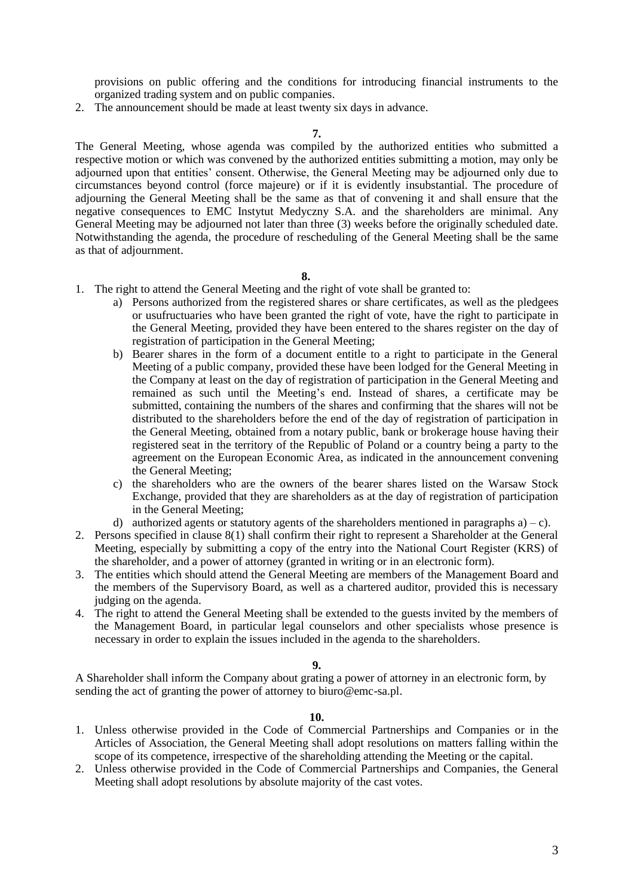provisions on public offering and the conditions for introducing financial instruments to the organized trading system and on public companies.

2. The announcement should be made at least twenty six days in advance.

**7.**

The General Meeting, whose agenda was compiled by the authorized entities who submitted a respective motion or which was convened by the authorized entities submitting a motion, may only be adjourned upon that entities' consent. Otherwise, the General Meeting may be adjourned only due to circumstances beyond control (force majeure) or if it is evidently insubstantial. The procedure of adjourning the General Meeting shall be the same as that of convening it and shall ensure that the negative consequences to EMC Instytut Medyczny S.A. and the shareholders are minimal. Any General Meeting may be adjourned not later than three (3) weeks before the originally scheduled date. Notwithstanding the agenda, the procedure of rescheduling of the General Meeting shall be the same as that of adjournment.

**8.**

- 1. The right to attend the General Meeting and the right of vote shall be granted to:
	- a) Persons authorized from the registered shares or share certificates, as well as the pledgees or usufructuaries who have been granted the right of vote, have the right to participate in the General Meeting, provided they have been entered to the shares register on the day of registration of participation in the General Meeting;
	- b) Bearer shares in the form of a document entitle to a right to participate in the General Meeting of a public company, provided these have been lodged for the General Meeting in the Company at least on the day of registration of participation in the General Meeting and remained as such until the Meeting's end. Instead of shares, a certificate may be submitted, containing the numbers of the shares and confirming that the shares will not be distributed to the shareholders before the end of the day of registration of participation in the General Meeting, obtained from a notary public, bank or brokerage house having their registered seat in the territory of the Republic of Poland or a country being a party to the agreement on the European Economic Area, as indicated in the announcement convening the General Meeting;
	- c) the shareholders who are the owners of the bearer shares listed on the Warsaw Stock Exchange, provided that they are shareholders as at the day of registration of participation in the General Meeting;
	- d) authorized agents or statutory agents of the shareholders mentioned in paragraphs  $a$ ) c).
- 2. Persons specified in clause 8(1) shall confirm their right to represent a Shareholder at the General Meeting, especially by submitting a copy of the entry into the National Court Register (KRS) of the shareholder, and a power of attorney (granted in writing or in an electronic form).
- 3. The entities which should attend the General Meeting are members of the Management Board and the members of the Supervisory Board, as well as a chartered auditor, provided this is necessary judging on the agenda.
- 4. The right to attend the General Meeting shall be extended to the guests invited by the members of the Management Board, in particular legal counselors and other specialists whose presence is necessary in order to explain the issues included in the agenda to the shareholders.

### **9.**

A Shareholder shall inform the Company about grating a power of attorney in an electronic form, by sending the act of granting the power of attorney to biuro@emc-sa.pl.

- 1. Unless otherwise provided in the Code of Commercial Partnerships and Companies or in the Articles of Association, the General Meeting shall adopt resolutions on matters falling within the scope of its competence, irrespective of the shareholding attending the Meeting or the capital.
- 2. Unless otherwise provided in the Code of Commercial Partnerships and Companies, the General Meeting shall adopt resolutions by absolute majority of the cast votes.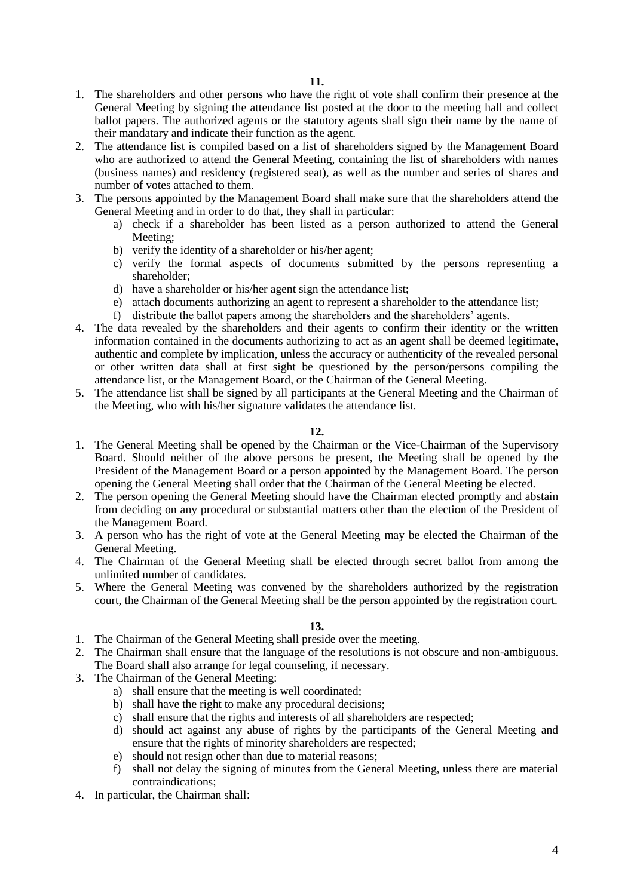- 1. The shareholders and other persons who have the right of vote shall confirm their presence at the General Meeting by signing the attendance list posted at the door to the meeting hall and collect ballot papers. The authorized agents or the statutory agents shall sign their name by the name of their mandatary and indicate their function as the agent.
- 2. The attendance list is compiled based on a list of shareholders signed by the Management Board who are authorized to attend the General Meeting, containing the list of shareholders with names (business names) and residency (registered seat), as well as the number and series of shares and number of votes attached to them.
- 3. The persons appointed by the Management Board shall make sure that the shareholders attend the General Meeting and in order to do that, they shall in particular:
	- a) check if a shareholder has been listed as a person authorized to attend the General Meeting;
	- b) verify the identity of a shareholder or his/her agent;
	- c) verify the formal aspects of documents submitted by the persons representing a shareholder;
	- d) have a shareholder or his/her agent sign the attendance list;
	- e) attach documents authorizing an agent to represent a shareholder to the attendance list;
	- f) distribute the ballot papers among the shareholders and the shareholders' agents.
- 4. The data revealed by the shareholders and their agents to confirm their identity or the written information contained in the documents authorizing to act as an agent shall be deemed legitimate, authentic and complete by implication, unless the accuracy or authenticity of the revealed personal or other written data shall at first sight be questioned by the person/persons compiling the attendance list, or the Management Board, or the Chairman of the General Meeting.
- 5. The attendance list shall be signed by all participants at the General Meeting and the Chairman of the Meeting, who with his/her signature validates the attendance list.

### **12.**

- 1. The General Meeting shall be opened by the Chairman or the Vice-Chairman of the Supervisory Board. Should neither of the above persons be present, the Meeting shall be opened by the President of the Management Board or a person appointed by the Management Board. The person opening the General Meeting shall order that the Chairman of the General Meeting be elected.
- 2. The person opening the General Meeting should have the Chairman elected promptly and abstain from deciding on any procedural or substantial matters other than the election of the President of the Management Board.
- 3. A person who has the right of vote at the General Meeting may be elected the Chairman of the General Meeting.
- 4. The Chairman of the General Meeting shall be elected through secret ballot from among the unlimited number of candidates.
- 5. Where the General Meeting was convened by the shareholders authorized by the registration court, the Chairman of the General Meeting shall be the person appointed by the registration court.

- 1. The Chairman of the General Meeting shall preside over the meeting.
- 2. The Chairman shall ensure that the language of the resolutions is not obscure and non-ambiguous. The Board shall also arrange for legal counseling, if necessary.
- 3. The Chairman of the General Meeting:
	- a) shall ensure that the meeting is well coordinated;
	- b) shall have the right to make any procedural decisions;
	- c) shall ensure that the rights and interests of all shareholders are respected;
	- d) should act against any abuse of rights by the participants of the General Meeting and ensure that the rights of minority shareholders are respected;
	- e) should not resign other than due to material reasons;
	- f) shall not delay the signing of minutes from the General Meeting, unless there are material contraindications;
- 4. In particular, the Chairman shall: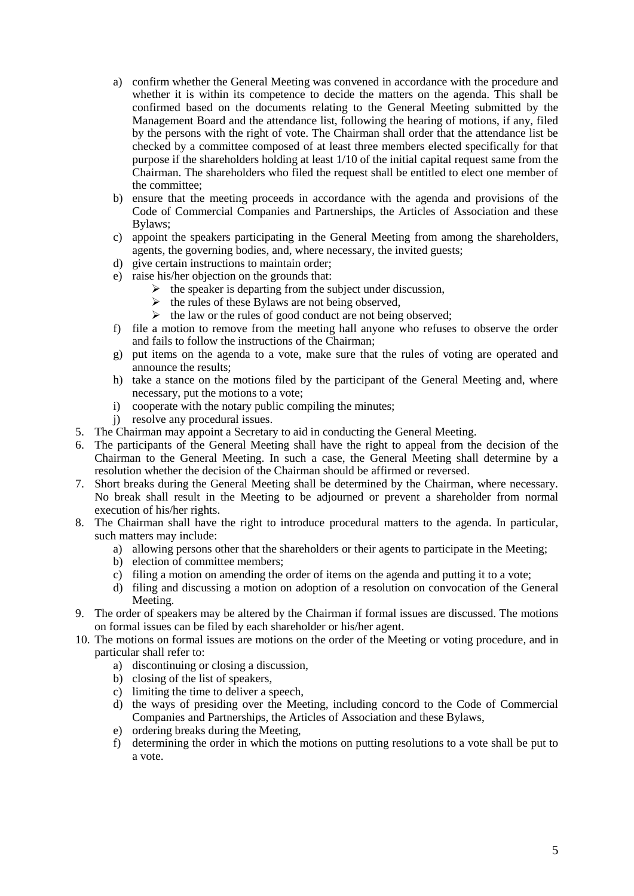- a) confirm whether the General Meeting was convened in accordance with the procedure and whether it is within its competence to decide the matters on the agenda. This shall be confirmed based on the documents relating to the General Meeting submitted by the Management Board and the attendance list, following the hearing of motions, if any, filed by the persons with the right of vote. The Chairman shall order that the attendance list be checked by a committee composed of at least three members elected specifically for that purpose if the shareholders holding at least 1/10 of the initial capital request same from the Chairman. The shareholders who filed the request shall be entitled to elect one member of the committee;
- b) ensure that the meeting proceeds in accordance with the agenda and provisions of the Code of Commercial Companies and Partnerships, the Articles of Association and these Bylaws;
- c) appoint the speakers participating in the General Meeting from among the shareholders, agents, the governing bodies, and, where necessary, the invited guests;
- d) give certain instructions to maintain order;
- e) raise his/her objection on the grounds that:
	- $\triangleright$  the speaker is departing from the subject under discussion.
	- $\triangleright$  the rules of these Bylaws are not being observed,
	- $\triangleright$  the law or the rules of good conduct are not being observed;
- f) file a motion to remove from the meeting hall anyone who refuses to observe the order and fails to follow the instructions of the Chairman;
- g) put items on the agenda to a vote, make sure that the rules of voting are operated and announce the results;
- h) take a stance on the motions filed by the participant of the General Meeting and, where necessary, put the motions to a vote;
- i) cooperate with the notary public compiling the minutes;
- j) resolve any procedural issues.
- 5. The Chairman may appoint a Secretary to aid in conducting the General Meeting.
- 6. The participants of the General Meeting shall have the right to appeal from the decision of the Chairman to the General Meeting. In such a case, the General Meeting shall determine by a resolution whether the decision of the Chairman should be affirmed or reversed.
- 7. Short breaks during the General Meeting shall be determined by the Chairman, where necessary. No break shall result in the Meeting to be adjourned or prevent a shareholder from normal execution of his/her rights.
- 8. The Chairman shall have the right to introduce procedural matters to the agenda. In particular, such matters may include:
	- a) allowing persons other that the shareholders or their agents to participate in the Meeting;
	- b) election of committee members;
	- c) filing a motion on amending the order of items on the agenda and putting it to a vote;
	- d) filing and discussing a motion on adoption of a resolution on convocation of the General Meeting.
- 9. The order of speakers may be altered by the Chairman if formal issues are discussed. The motions on formal issues can be filed by each shareholder or his/her agent.
- 10. The motions on formal issues are motions on the order of the Meeting or voting procedure, and in particular shall refer to:
	- a) discontinuing or closing a discussion,
	- b) closing of the list of speakers,
	- c) limiting the time to deliver a speech,
	- d) the ways of presiding over the Meeting, including concord to the Code of Commercial Companies and Partnerships, the Articles of Association and these Bylaws,
	- e) ordering breaks during the Meeting,
	- f) determining the order in which the motions on putting resolutions to a vote shall be put to a vote.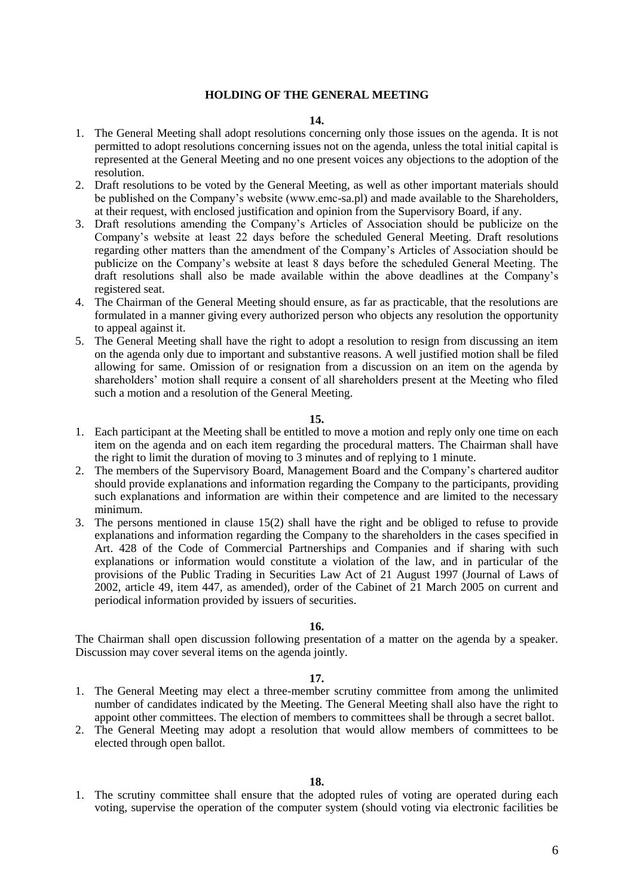### **HOLDING OF THE GENERAL MEETING**

#### **14.**

- 1. The General Meeting shall adopt resolutions concerning only those issues on the agenda. It is not permitted to adopt resolutions concerning issues not on the agenda, unless the total initial capital is represented at the General Meeting and no one present voices any objections to the adoption of the resolution.
- 2. Draft resolutions to be voted by the General Meeting, as well as other important materials should be published on the Company's website (www.emc-sa.pl) and made available to the Shareholders, at their request, with enclosed justification and opinion from the Supervisory Board, if any.
- 3. Draft resolutions amending the Company's Articles of Association should be publicize on the Company's website at least 22 days before the scheduled General Meeting. Draft resolutions regarding other matters than the amendment of the Company's Articles of Association should be publicize on the Company's website at least 8 days before the scheduled General Meeting. The draft resolutions shall also be made available within the above deadlines at the Company's registered seat.
- 4. The Chairman of the General Meeting should ensure, as far as practicable, that the resolutions are formulated in a manner giving every authorized person who objects any resolution the opportunity to appeal against it.
- 5. The General Meeting shall have the right to adopt a resolution to resign from discussing an item on the agenda only due to important and substantive reasons. A well justified motion shall be filed allowing for same. Omission of or resignation from a discussion on an item on the agenda by shareholders' motion shall require a consent of all shareholders present at the Meeting who filed such a motion and a resolution of the General Meeting.

#### **15.**

- 1. Each participant at the Meeting shall be entitled to move a motion and reply only one time on each item on the agenda and on each item regarding the procedural matters. The Chairman shall have the right to limit the duration of moving to 3 minutes and of replying to 1 minute.
- 2. The members of the Supervisory Board, Management Board and the Company's chartered auditor should provide explanations and information regarding the Company to the participants, providing such explanations and information are within their competence and are limited to the necessary minimum.
- 3. The persons mentioned in clause 15(2) shall have the right and be obliged to refuse to provide explanations and information regarding the Company to the shareholders in the cases specified in Art. 428 of the Code of Commercial Partnerships and Companies and if sharing with such explanations or information would constitute a violation of the law, and in particular of the provisions of the Public Trading in Securities Law Act of 21 August 1997 (Journal of Laws of 2002, article 49, item 447, as amended), order of the Cabinet of 21 March 2005 on current and periodical information provided by issuers of securities.

#### **16.**

The Chairman shall open discussion following presentation of a matter on the agenda by a speaker. Discussion may cover several items on the agenda jointly.

### **17.**

- 1. The General Meeting may elect a three-member scrutiny committee from among the unlimited number of candidates indicated by the Meeting. The General Meeting shall also have the right to appoint other committees. The election of members to committees shall be through a secret ballot.
- 2. The General Meeting may adopt a resolution that would allow members of committees to be elected through open ballot.

1. The scrutiny committee shall ensure that the adopted rules of voting are operated during each voting, supervise the operation of the computer system (should voting via electronic facilities be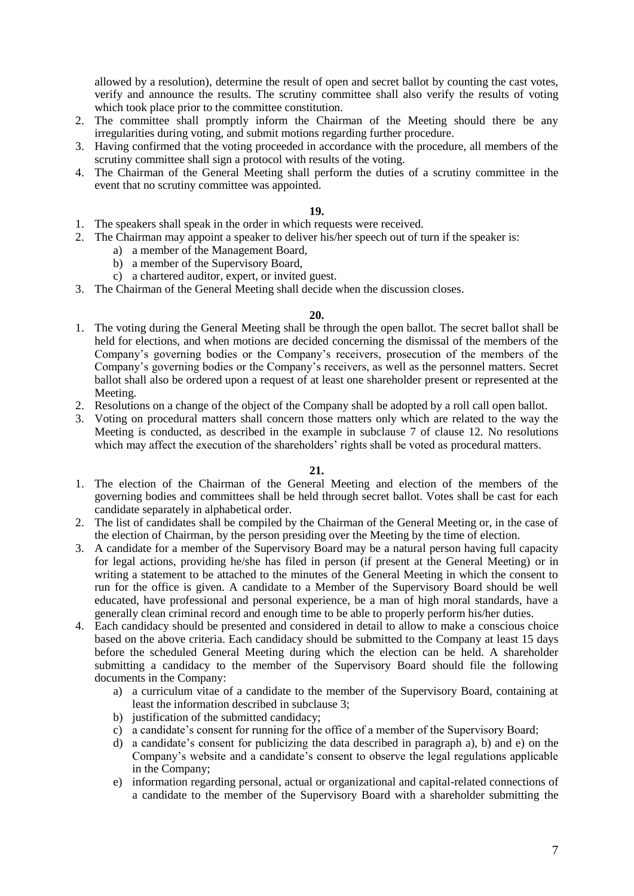allowed by a resolution), determine the result of open and secret ballot by counting the cast votes, verify and announce the results. The scrutiny committee shall also verify the results of voting which took place prior to the committee constitution.

- 2. The committee shall promptly inform the Chairman of the Meeting should there be any irregularities during voting, and submit motions regarding further procedure.
- 3. Having confirmed that the voting proceeded in accordance with the procedure, all members of the scrutiny committee shall sign a protocol with results of the voting.
- 4. The Chairman of the General Meeting shall perform the duties of a scrutiny committee in the event that no scrutiny committee was appointed.

### **19.**

- 1. The speakers shall speak in the order in which requests were received.
- 2. The Chairman may appoint a speaker to deliver his/her speech out of turn if the speaker is:
	- a) a member of the Management Board,
	- b) a member of the Supervisory Board,
	- c) a chartered auditor, expert, or invited guest.
- 3. The Chairman of the General Meeting shall decide when the discussion closes.

### **20.**

- 1. The voting during the General Meeting shall be through the open ballot. The secret ballot shall be held for elections, and when motions are decided concerning the dismissal of the members of the Company's governing bodies or the Company's receivers, prosecution of the members of the Company's governing bodies or the Company's receivers, as well as the personnel matters. Secret ballot shall also be ordered upon a request of at least one shareholder present or represented at the Meeting.
- 2. Resolutions on a change of the object of the Company shall be adopted by a roll call open ballot.
- 3. Voting on procedural matters shall concern those matters only which are related to the way the Meeting is conducted, as described in the example in subclause 7 of clause 12. No resolutions which may affect the execution of the shareholders' rights shall be voted as procedural matters.

- 1. The election of the Chairman of the General Meeting and election of the members of the governing bodies and committees shall be held through secret ballot. Votes shall be cast for each candidate separately in alphabetical order.
- 2. The list of candidates shall be compiled by the Chairman of the General Meeting or, in the case of the election of Chairman, by the person presiding over the Meeting by the time of election.
- 3. A candidate for a member of the Supervisory Board may be a natural person having full capacity for legal actions, providing he/she has filed in person (if present at the General Meeting) or in writing a statement to be attached to the minutes of the General Meeting in which the consent to run for the office is given. A candidate to a Member of the Supervisory Board should be well educated, have professional and personal experience, be a man of high moral standards, have a generally clean criminal record and enough time to be able to properly perform his/her duties.
- 4. Each candidacy should be presented and considered in detail to allow to make a conscious choice based on the above criteria. Each candidacy should be submitted to the Company at least 15 days before the scheduled General Meeting during which the election can be held. A shareholder submitting a candidacy to the member of the Supervisory Board should file the following documents in the Company:
	- a) a curriculum vitae of a candidate to the member of the Supervisory Board, containing at least the information described in subclause 3;
	- b) justification of the submitted candidacy;
	- c) a candidate's consent for running for the office of a member of the Supervisory Board;
	- d) a candidate's consent for publicizing the data described in paragraph a), b) and e) on the Company's website and a candidate's consent to observe the legal regulations applicable in the Company;
	- e) information regarding personal, actual or organizational and capital-related connections of a candidate to the member of the Supervisory Board with a shareholder submitting the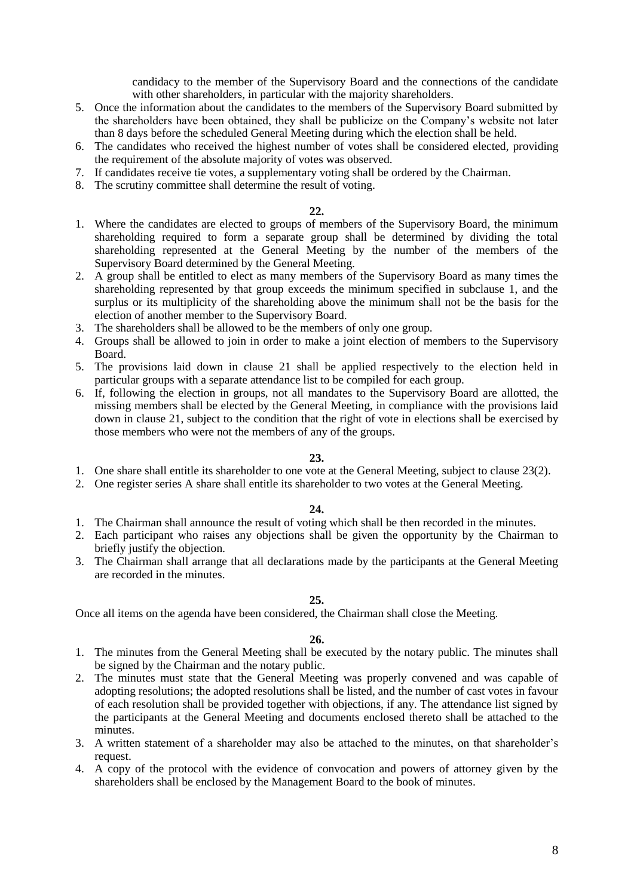candidacy to the member of the Supervisory Board and the connections of the candidate with other shareholders, in particular with the majority shareholders.

- 5. Once the information about the candidates to the members of the Supervisory Board submitted by the shareholders have been obtained, they shall be publicize on the Company's website not later than 8 days before the scheduled General Meeting during which the election shall be held.
- 6. The candidates who received the highest number of votes shall be considered elected, providing the requirement of the absolute majority of votes was observed.
- 7. If candidates receive tie votes, a supplementary voting shall be ordered by the Chairman.
- 8. The scrutiny committee shall determine the result of voting.

### **22.**

- 1. Where the candidates are elected to groups of members of the Supervisory Board, the minimum shareholding required to form a separate group shall be determined by dividing the total shareholding represented at the General Meeting by the number of the members of the Supervisory Board determined by the General Meeting.
- 2. A group shall be entitled to elect as many members of the Supervisory Board as many times the shareholding represented by that group exceeds the minimum specified in subclause 1, and the surplus or its multiplicity of the shareholding above the minimum shall not be the basis for the election of another member to the Supervisory Board.
- 3. The shareholders shall be allowed to be the members of only one group.
- 4. Groups shall be allowed to join in order to make a joint election of members to the Supervisory Board.
- 5. The provisions laid down in clause 21 shall be applied respectively to the election held in particular groups with a separate attendance list to be compiled for each group.
- 6. If, following the election in groups, not all mandates to the Supervisory Board are allotted, the missing members shall be elected by the General Meeting, in compliance with the provisions laid down in clause 21, subject to the condition that the right of vote in elections shall be exercised by those members who were not the members of any of the groups.

## **23.**

- 1. One share shall entitle its shareholder to one vote at the General Meeting, subject to clause 23(2).
- 2. One register series A share shall entitle its shareholder to two votes at the General Meeting.

### **24.**

- 1. The Chairman shall announce the result of voting which shall be then recorded in the minutes.
- 2. Each participant who raises any objections shall be given the opportunity by the Chairman to briefly justify the objection.
- 3. The Chairman shall arrange that all declarations made by the participants at the General Meeting are recorded in the minutes.

### **25.**

Once all items on the agenda have been considered, the Chairman shall close the Meeting.

- 1. The minutes from the General Meeting shall be executed by the notary public. The minutes shall be signed by the Chairman and the notary public.
- 2. The minutes must state that the General Meeting was properly convened and was capable of adopting resolutions; the adopted resolutions shall be listed, and the number of cast votes in favour of each resolution shall be provided together with objections, if any. The attendance list signed by the participants at the General Meeting and documents enclosed thereto shall be attached to the minutes.
- 3. A written statement of a shareholder may also be attached to the minutes, on that shareholder's request.
- 4. A copy of the protocol with the evidence of convocation and powers of attorney given by the shareholders shall be enclosed by the Management Board to the book of minutes.